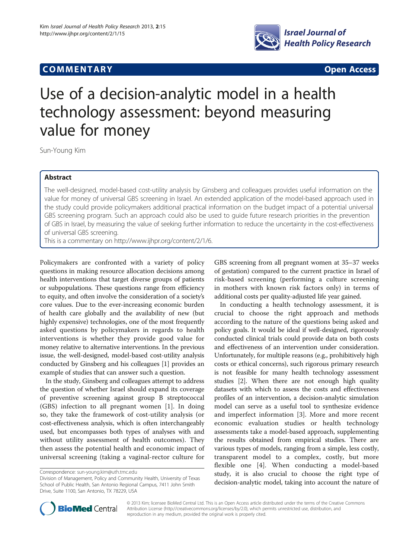# **COMMENTARY COMMENTARY Open Access**



# Use of a decision-analytic model in a health technology assessment: beyond measuring value for money

Sun-Young Kim

## Abstract

The well-designed, model-based cost-utility analysis by Ginsberg and colleagues provides useful information on the value for money of universal GBS screening in Israel. An extended application of the model-based approach used in the study could provide policymakers additional practical information on the budget impact of a potential universal GBS screening program. Such an approach could also be used to guide future research priorities in the prevention of GBS in Israel, by measuring the value of seeking further information to reduce the uncertainty in the cost-effectiveness of universal GBS screening.

This is a commentary on<http://www.ijhpr.org/content/2/1/6>.

Policymakers are confronted with a variety of policy questions in making resource allocation decisions among health interventions that target diverse groups of patients or subpopulations. These questions range from efficiency to equity, and often involve the consideration of a society's core values. Due to the ever-increasing economic burden of health care globally and the availability of new (but highly expensive) technologies, one of the most frequently asked questions by policymakers in regards to health interventions is whether they provide good value for money relative to alternative interventions. In the previous issue, the well-designed, model-based cost-utility analysis conducted by Ginsberg and his colleagues [[1\]](#page-2-0) provides an example of studies that can answer such a question.

In the study, Ginsberg and colleagues attempt to address the question of whether Israel should expand its coverage of preventive screening against group B streptococcal (GBS) infection to all pregnant women [[1\]](#page-2-0). In doing so, they take the framework of cost-utility analysis (or cost-effectiveness analysis, which is often interchangeably used, but encompasses both types of analyses with and without utility assessment of health outcomes). They then assess the potential health and economic impact of universal screening (taking a vaginal-rector culture for

GBS screening from all pregnant women at 35–37 weeks of gestation) compared to the current practice in Israel of risk-based screening (performing a culture screening in mothers with known risk factors only) in terms of additional costs per quality-adjusted life year gained.

In conducting a health technology assessment, it is crucial to choose the right approach and methods according to the nature of the questions being asked and policy goals. It would be ideal if well-designed, rigorously conducted clinical trials could provide data on both costs and effectiveness of an intervention under consideration. Unfortunately, for multiple reasons (e.g., prohibitively high costs or ethical concerns), such rigorous primary research is not feasible for many health technology assessment studies [\[2](#page-2-0)]. When there are not enough high quality datasets with which to assess the costs and effectiveness profiles of an intervention, a decision-analytic simulation model can serve as a useful tool to synthesize evidence and imperfect information [\[3](#page-2-0)]. More and more recent economic evaluation studies or health technology assessments take a model-based approach, supplementing the results obtained from empirical studies. There are various types of models, ranging from a simple, less costly, transparent model to a complex, costly, but more flexible one [\[4](#page-2-0)]. When conducting a model-based study, it is also crucial to choose the right type of decision-analytic model, taking into account the nature of



© 2013 Kim; licensee BioMed Central Ltd. This is an Open Access article distributed under the terms of the Creative Commons Attribution License (<http://creativecommons.org/licenses/by/2.0>), which permits unrestricted use, distribution, and reproduction in any medium, provided the original work is properly cited.

Correspondence: [sun-young.kim@uth.tmc.edu](mailto:sun-young.kim@uth.tmc.edu)

Division of Management, Policy and Community Health, University of Texas School of Public Health, San Antonio Regional Campus, 7411 John Smith Drive, Suite 1100, San Antonio, TX 78229, USA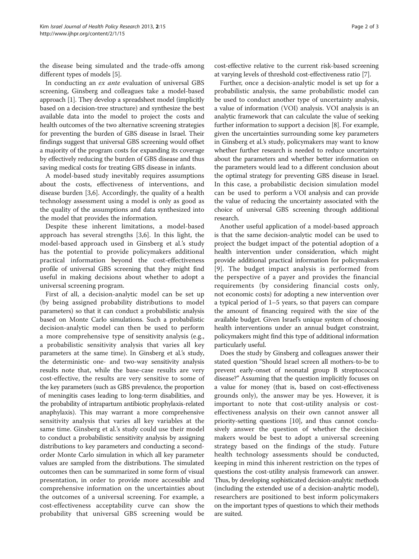the disease being simulated and the trade-offs among different types of models [[5\]](#page-2-0).

In conducting an ex ante evaluation of universal GBS screening, Ginsberg and colleagues take a model-based approach [\[1\]](#page-2-0). They develop a spreadsheet model (implicitly based on a decision-tree structure) and synthesize the best available data into the model to project the costs and health outcomes of the two alternative screening strategies for preventing the burden of GBS disease in Israel. Their findings suggest that universal GBS screening would offset a majority of the program costs for expanding its coverage by effectively reducing the burden of GBS disease and thus saving medical costs for treating GBS disease in infants.

A model-based study inevitably requires assumptions about the costs, effectiveness of interventions, and disease burden [\[3,6](#page-2-0)]. Accordingly, the quality of a health technology assessment using a model is only as good as the quality of the assumptions and data synthesized into the model that provides the information.

Despite these inherent limitations, a model-based approach has several strengths [[3,6\]](#page-2-0). In this light, the model-based approach used in Ginsberg et al.'s study has the potential to provide policymakers additional practical information beyond the cost-effectiveness profile of universal GBS screening that they might find useful in making decisions about whether to adopt a universal screening program.

First of all, a decision-analytic model can be set up (by being assigned probability distributions to model parameters) so that it can conduct a probabilistic analysis based on Monte Carlo simulations. Such a probabilistic decision-analytic model can then be used to perform a more comprehensive type of sensitivity analysis (e.g., a probabilistic sensitivity analysis that varies all key parameters at the same time). In Ginsberg et al.'s study, the deterministic one- and two-way sensitivity analysis results note that, while the base-case results are very cost-effective, the results are very sensitive to some of the key parameters (such as GBS prevalence, the proportion of meningitis cases leading to long-term disabilities, and the probability of intrapartum antibiotic prophylaxis-related anaphylaxis). This may warrant a more comprehensive sensitivity analysis that varies all key variables at the same time. Ginsberg et al.'s study could use their model to conduct a probabilistic sensitivity analysis by assigning distributions to key parameters and conducting a secondorder Monte Carlo simulation in which all key parameter values are sampled from the distributions. The simulated outcomes then can be summarized in some form of visual presentation, in order to provide more accessible and comprehensive information on the uncertainties about the outcomes of a universal screening. For example, a cost-effectiveness acceptability curve can show the probability that universal GBS screening would be

cost-effective relative to the current risk-based screening at varying levels of threshold cost-effectiveness ratio [[7\]](#page-2-0).

Further, once a decision-analytic model is set up for a probabilistic analysis, the same probabilistic model can be used to conduct another type of uncertainty analysis, a value of information (VOI) analysis. VOI analysis is an analytic framework that can calculate the value of seeking further information to support a decision [\[8](#page-2-0)]. For example, given the uncertainties surrounding some key parameters in Ginsberg et al.'s study, policymakers may want to know whether further research is needed to reduce uncertainty about the parameters and whether better information on the parameters would lead to a different conclusion about the optimal strategy for preventing GBS disease in Israel. In this case, a probabilistic decision simulation model can be used to perform a VOI analysis and can provide the value of reducing the uncertainty associated with the choice of universal GBS screening through additional research.

Another useful application of a model-based approach is that the same decision-analytic model can be used to project the budget impact of the potential adoption of a health intervention under consideration, which might provide additional practical information for policymakers [[9](#page-2-0)]. The budget impact analysis is performed from the perspective of a payer and provides the financial requirements (by considering financial costs only, not economic costs) for adopting a new intervention over a typical period of 1–5 years, so that payers can compare the amount of financing required with the size of the available budget. Given Israel's unique system of choosing health interventions under an annual budget constraint, policymakers might find this type of additional information particularly useful.

Does the study by Ginsberg and colleagues answer their stated question "Should Israel screen all mothers-to-be to prevent early-onset of neonatal group B streptococcal disease?" Assuming that the question implicitly focuses on a value for money (that is, based on cost-effectiveness grounds only), the answer may be yes. However, it is important to note that cost-utility analysis or costeffectiveness analysis on their own cannot answer all priority-setting questions [\[10\]](#page-2-0), and thus cannot conclusively answer the question of whether the decision makers would be best to adopt a universal screening strategy based on the findings of the study. Future health technology assessments should be conducted, keeping in mind this inherent restriction on the types of questions the cost-utility analysis framework can answer. Thus, by developing sophisticated decision-analytic methods (including the extended use of a decision-analytic model), researchers are positioned to best inform policymakers on the important types of questions to which their methods are suited.